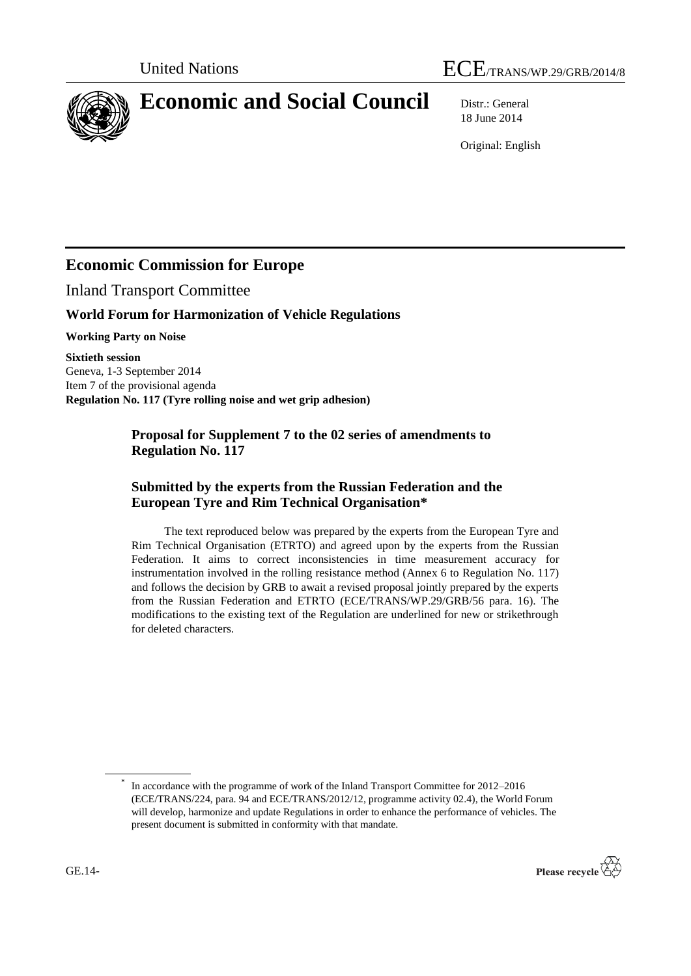



# **Economic and Social Council** Distr.: General

18 June 2014

Original: English

# **Economic Commission for Europe**

Inland Transport Committee

# **World Forum for Harmonization of Vehicle Regulations**

**Working Party on Noise**

**Sixtieth session** Geneva, 1-3 September 2014 Item 7 of the provisional agenda **Regulation No. 117 (Tyre rolling noise and wet grip adhesion)**

#### **Proposal for Supplement 7 to the 02 series of amendments to Regulation No. 117**

## **Submitted by the experts from the Russian Federation and the European Tyre and Rim Technical Organisation\***

The text reproduced below was prepared by the experts from the European Tyre and Rim Technical Organisation (ETRTO) and agreed upon by the experts from the Russian Federation. It aims to correct inconsistencies in time measurement accuracy for instrumentation involved in the rolling resistance method (Annex 6 to Regulation No. 117) and follows the decision by GRB to await a revised proposal jointly prepared by the experts from the Russian Federation and ETRTO (ECE/TRANS/WP.29/GRB/56 para. 16). The modifications to the existing text of the Regulation are underlined for new or strikethrough for deleted characters.

<sup>\*</sup> In accordance with the programme of work of the Inland Transport Committee for 2012–2016 (ECE/TRANS/224, para. 94 and ECE/TRANS/2012/12, programme activity 02.4), the World Forum will develop, harmonize and update Regulations in order to enhance the performance of vehicles. The present document is submitted in conformity with that mandate.

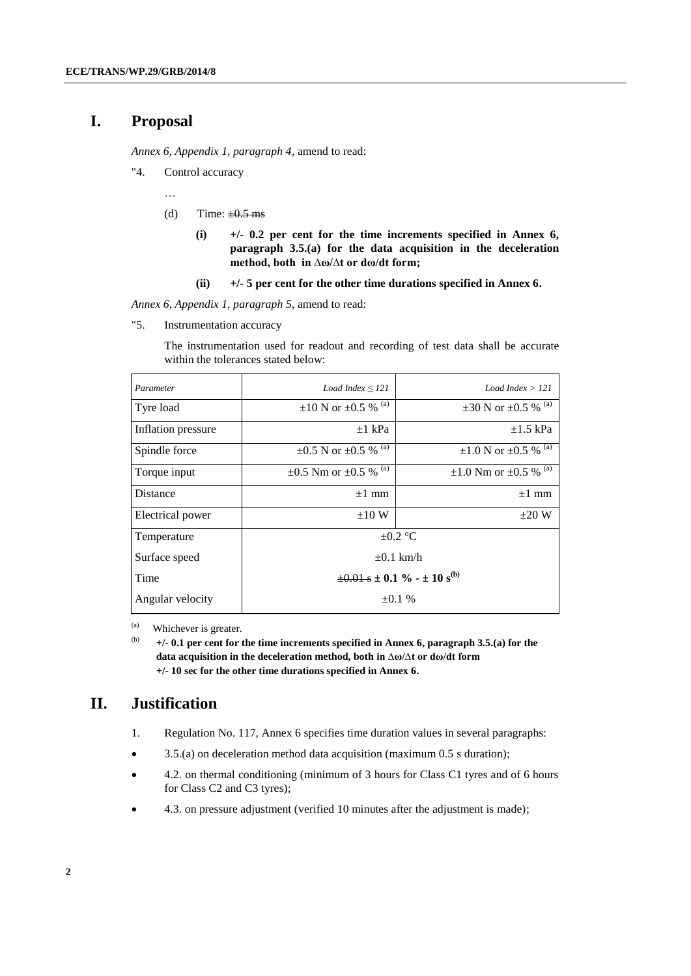## **I. Proposal**

*Annex 6, Appendix 1, paragraph 4*, amend to read:

"4. Control accuracy

…

- (d) Time:  $\pm 0.5$  ms
	- **(i) +/- 0.2 per cent for the time increments specified in Annex 6, paragraph 3.5.(a) for the data acquisition in the deceleration method, both in ∆ω/∆t or dω/dt form;**
	- **(ii) +/- 5 per cent for the other time durations specified in Annex 6.**

*Annex 6, Appendix 1, paragraph 5,* amend to read:

"5. Instrumentation accuracy

The instrumentation used for readout and recording of test data shall be accurate within the tolerances stated below:

| Parameter          | Load Index $\leq$ 121                                | Load Index $> 121$                         |
|--------------------|------------------------------------------------------|--------------------------------------------|
| Tyre load          | $\pm 10$ N or $\pm 0.5$ % <sup>(a)</sup>             | $\pm 30$ N or $\pm 0.5$ % <sup>(a)</sup>   |
| Inflation pressure | $\pm 1$ kPa                                          | $\pm 1.5$ kPa                              |
| Spindle force      | $\pm 0.5$ N or $\pm 0.5$ % <sup>(a)</sup>            | $\pm 1.0$ N or $\pm 0.5$ % <sup>(a)</sup>  |
| Torque input       | $\pm 0.5$ Nm or $\pm 0.5$ % <sup>(a)</sup>           | $\pm 1.0$ Nm or $\pm 0.5$ % <sup>(a)</sup> |
| Distance           | $\pm 1$ mm                                           | $\pm 1$ mm                                 |
| Electrical power   | $\pm 10 \text{ W}$                                   | $\pm 20$ W                                 |
| Temperature        | $\pm 0.2$ °C                                         |                                            |
| Surface speed      | $\pm 0.1$ km/h                                       |                                            |
| Time               | $\pm 0.01$ s $\pm 0.1$ % - $\pm 10$ s <sup>(b)</sup> |                                            |
| Angular velocity   | $\pm 0.1 \%$                                         |                                            |

(a) Whichever is greater.

(b) **+/- 0.1 per cent for the time increments specified in Annex 6, paragraph 3.5.(a) for the data acquisition in the deceleration method, both in ∆ω/∆t or dω/dt form +/- 10 sec for the other time durations specified in Annex 6.**

#### **II. Justification**

- 1. Regulation No. 117, Annex 6 specifies time duration values in several paragraphs:
- 3.5.(a) on deceleration method data acquisition (maximum 0.5 s duration);
- 4.2. on thermal conditioning (minimum of 3 hours for Class C1 tyres and of 6 hours for Class C2 and C3 tyres);
- 4.3. on pressure adjustment (verified 10 minutes after the adjustment is made);